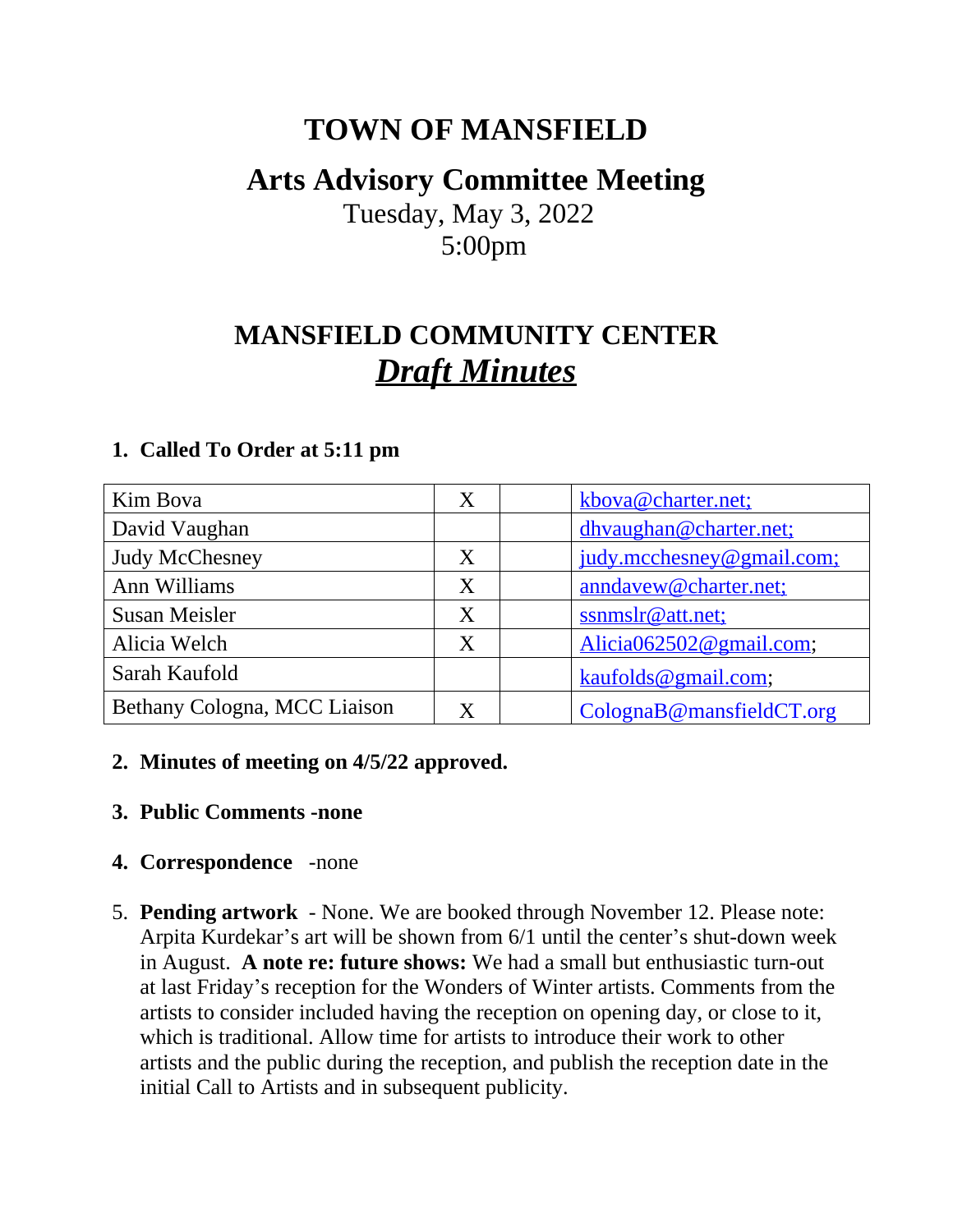## **TOWN OF MANSFIELD**

### **Arts Advisory Committee Meeting**

 Tuesday, May 3, 2022 5:00pm

# **MANSFIELD COMMUNITY CENTER** *Draft Minutes*

| Kim Bova                     | X | kbova@charter.net:        |
|------------------------------|---|---------------------------|
| David Vaughan                |   | dhyaughan@charter.net;    |
| <b>Judy McChesney</b>        | X | judy.mcchesney@gmail.com; |
| Ann Williams                 | X | anndavew@charter.net;     |
| <b>Susan Meisler</b>         | X | ssnmslr@att.net;          |
| Alicia Welch                 | X | Alicia062502@gmail.com;   |
| Sarah Kaufold                |   | kaufolds@gmail.com;       |
| Bethany Cologna, MCC Liaison | X | ColognaB@mansfieldCT.org  |

#### **1. Called To Order at 5:11 pm**

#### **2. Minutes of meeting on 4/5/22 approved.**

**3. Public Comments -none**

#### **4. Correspondence** -none

5. **Pending artwork** - None. We are booked through November 12. Please note: Arpita Kurdekar's art will be shown from 6/1 until the center's shut-down week in August. **A note re: future shows:** We had a small but enthusiastic turn-out at last Friday's reception for the Wonders of Winter artists. Comments from the artists to consider included having the reception on opening day, or close to it, which is traditional. Allow time for artists to introduce their work to other artists and the public during the reception, and publish the reception date in the initial Call to Artists and in subsequent publicity.